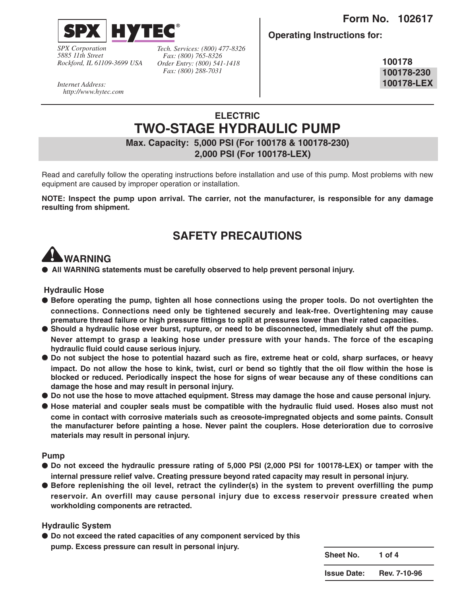

*SPX Corporation 5885 11th Street Rockford, IL 61109-3699 USA*

*Tech. Services: (800) 477-8326 Fax: (800) 765-8326 Order Entry: (800) 541-1418 Fax: (800) 288-7031*

**Operating Instructions for:**

**100178 100178-230 100178-LEX**

*Internet Address: http://www.hytec.com*

# **ELECTRIC TWO-STAGE HYDRAULIC PUMP**

**Max. Capacity: 5,000 PSI (For 100178 & 100178-230) 2,000 PSI (For 100178-LEX)**

Read and carefully follow the operating instructions before installation and use of this pump. Most problems with new equipment are caused by improper operation or installation.

**NOTE: Inspect the pump upon arrival. The carrier, not the manufacturer, is responsible for any damage resulting from shipment.**

# **SAFETY PRECAUTIONS**

# **WARNING**

● **All WARNING statements must be carefully observed to help prevent personal injury.**

#### **Hydraulic Hose**

- **Before operating the pump, tighten all hose connections using the proper tools. Do not overtighten the connections. Connections need only be tightened securely and leak-free. Overtightening may cause premature thread failure or high pressure fittings to split at pressures lower than their rated capacities.**
- **Should a hydraulic hose ever burst, rupture, or need to be disconnected, immediately shut off the pump. Never attempt to grasp a leaking hose under pressure with your hands. The force of the escaping hydraulic fluid could cause serious injury.**
- **Do not subject the hose to potential hazard such as fire, extreme heat or cold, sharp surfaces, or heavy impact. Do not allow the hose to kink, twist, curl or bend so tightly that the oil flow within the hose is blocked or reduced. Periodically inspect the hose for signs of wear because any of these conditions can damage the hose and may result in personal injury.**
- **Do not use the hose to move attached equipment. Stress may damage the hose and cause personal injury.**
- **Hose material and coupler seals must be compatible with the hydraulic fluid used. Hoses also must not come in contact with corrosive materials such as creosote-impregnated objects and some paints. Consult the manufacturer before painting a hose. Never paint the couplers. Hose deterioration due to corrosive materials may result in personal injury.**

#### **Pump**

- **Do not exceed the hydraulic pressure rating of 5,000 PSI (2,000 PSI for 100178-LEX) or tamper with the internal pressure relief valve. Creating pressure beyond rated capacity may result in personal injury.**
- **Before replenishing the oil level, retract the cylinder(s) in the system to prevent overfilling the pump reservoir. An overfill may cause personal injury due to excess reservoir pressure created when workholding components are retracted.**

#### **Hydraulic System**

● **Do not exceed the rated capacities of any component serviced by this pump. Excess pressure can result in personal injury.** 

**Sheet No. 1 of 4 Issue Date: Rev. 7-10-96**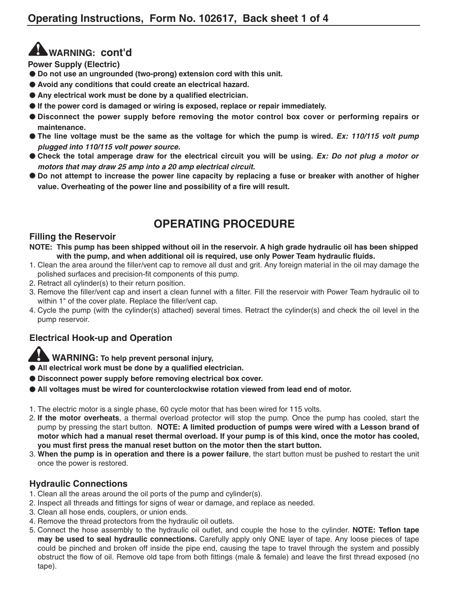# **WARNING: cont'd**

**Power Supply (Electric)**

- **Do not use an ungrounded (two-prong) extension cord with this unit.**
- **Avoid any conditions that could create an electrical hazard.**
- **Any electrical work must be done by a qualified electrician.**
- **If the power cord is damaged or wiring is exposed, replace or repair immediately.**
- **Disconnect the power supply before removing the motor control box cover or performing repairs or maintenance.**
- The line voltage must be the same as the voltage for which the pump is wired. *Ex: 110/115 volt pump* **plugged into 110/115 volt power source.**
- Check the total amperage draw for the electrical circuit you will be using. *Ex: Do not plug a motor or* **motors that may draw 25 amp into a 20 amp electrical circuit.**
- **Do not attempt to increase the power line capacity by replacing a fuse or breaker with another of higher value. Overheating of the power line and possibility of a fire will result.**

# **OPERATING PROCEDURE**

#### **Filling the Reservoir**

- **NOTE: This pump has been shipped without oil in the reservoir. A high grade hydraulic oil has been shipped with the pump, and when additional oil is required, use only Power Team hydraulic fluids.**
- 1. Clean the area around the filler/vent cap to remove all dust and grit. Any foreign material in the oil may damage the polished surfaces and precision-fit components of this pump.
- 2. Retract all cylinder(s) to their return position.
- 3. Remove the filler/vent cap and insert a clean funnel with a filter. Fill the reservoir with Power Team hydraulic oil to within 1" of the cover plate. Replace the filler/vent cap.
- 4. Cycle the pump (with the cylinder(s) attached) several times. Retract the cylinder(s) and check the oil level in the pump reservoir.

### **Electrical Hook-up and Operation**

**WARNING: To help prevent personal injury,**

- **All electrical work must be done by a qualified electrician.**
- **Disconnect power supply before removing electrical box cover.**
- **All voltages must be wired for counterclockwise rotation viewed from lead end of motor.**
- 1. The electric motor is a single phase, 60 cycle motor that has been wired for 115 volts.
- 2. **If the motor overheats**, a thermal overload protector will stop the pump. Once the pump has cooled, start the pump by pressing the start button. **NOTE: A limited production of pumps were wired with a Lesson brand of motor which had a manual reset thermal overload. If your pump is of this kind, once the motor has cooled, you must first press the manual reset button on the motor then the start button.**
- 3. **When the pump is in operation and there is a power failure**, the start button must be pushed to restart the unit once the power is restored.

### **Hydraulic Connections**

- 1. Clean all the areas around the oil ports of the pump and cylinder(s).
- 2. Inspect all threads and fittings for signs of wear or damage, and replace as needed.
- 3. Clean all hose ends, couplers, or union ends.
- 4. Remove the thread protectors from the hydraulic oil outlets.
- 5. Connect the hose assembly to the hydraulic oil outlet, and couple the hose to the cylinder. **NOTE: Teflon tape may be used to seal hydraulic connections.** Carefully apply only ONE layer of tape. Any loose pieces of tape could be pinched and broken off inside the pipe end, causing the tape to travel through the system and possibly obstruct the flow of oil. Remove old tape from both fittings (male & female) and leave the first thread exposed (no tape).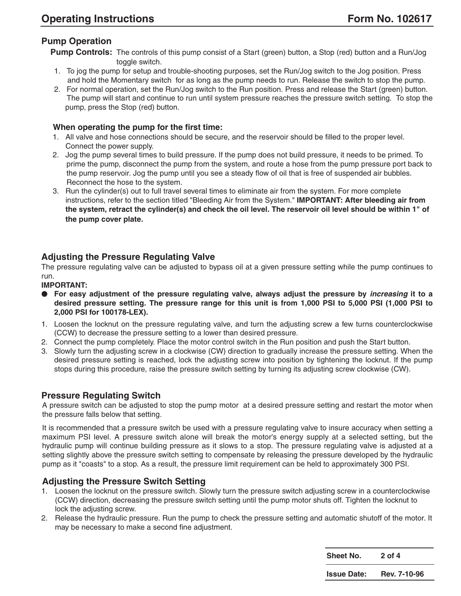## **Pump Operation**

**Pump Controls:** The controls of this pump consist of a Start (green) button, a Stop (red) button and a Run/Jog toggle switch.

- 1. To jog the pump for setup and trouble-shooting purposes, set the Run/Jog switch to the Jog position. Press and hold the Momentary switch for as long as the pump needs to run. Release the switch to stop the pump.
- 2. For normal operation, set the Run/Jog switch to the Run position. Press and release the Start (green) button. The pump will start and continue to run until system pressure reaches the pressure switch setting. To stop the pump, press the Stop (red) button.

#### **When operating the pump for the first time:**

- 1. All valve and hose connections should be secure, and the reservoir should be filled to the proper level. Connect the power supply.
- 2. Jog the pump several times to build pressure. If the pump does not build pressure, it needs to be primed. To prime the pump, disconnect the pump from the system, and route a hose from the pump pressure port back to the pump reservoir. Jog the pump until you see a steady flow of oil that is free of suspended air bubbles. Reconnect the hose to the system.
- 3. Run the cylinder(s) out to full travel several times to eliminate air from the system. For more complete instructions, refer to the section titled "Bleeding Air from the System." **IMPORTANT: After bleeding air from the system, retract the cylinder(s) and check the oil level. The reservoir oil level should be within 1" of the pump cover plate.**

### **Adjusting the Pressure Regulating Valve**

The pressure regulating valve can be adjusted to bypass oil at a given pressure setting while the pump continues to run.

#### **IMPORTANT:**

- **For easy adjustment of the pressure regulating valve, always adjust the pressure by increasing it to a desired pressure setting. The pressure range for this unit is from 1,000 PSI to 5,000 PSI (1,000 PSI to 2,000 PSI for 100178-LEX).**
- 1. Loosen the locknut on the pressure regulating valve, and turn the adjusting screw a few turns counterclockwise (CCW) to decrease the pressure setting to a lower than desired pressure.
- 2. Connect the pump completely. Place the motor control switch in the Run position and push the Start button.
- 3. Slowly turn the adjusting screw in a clockwise (CW) direction to gradually increase the pressure setting. When the desired pressure setting is reached, lock the adjusting screw into position by tightening the locknut. If the pump stops during this procedure, raise the pressure switch setting by turning its adjusting screw clockwise (CW).

#### **Pressure Regulating Switch**

A pressure switch can be adjusted to stop the pump motor at a desired pressure setting and restart the motor when the pressure falls below that setting.

It is recommended that a pressure switch be used with a pressure regulating valve to insure accuracy when setting a maximum PSI level. A pressure switch alone will break the motor's energy supply at a selected setting, but the hydraulic pump will continue building pressure as it slows to a stop. The pressure regulating valve is adjusted at a setting slightly above the pressure switch setting to compensate by releasing the pressure developed by the hydraulic pump as it "coasts" to a stop. As a result, the pressure limit requirement can be held to approximately 300 PSI.

#### **Adjusting the Pressure Switch Setting**

- 1. Loosen the locknut on the pressure switch. Slowly turn the pressure switch adjusting screw in a counterclockwise (CCW) direction, decreasing the pressure switch setting until the pump motor shuts off. Tighten the locknut to lock the adjusting screw.
- 2. Release the hydraulic pressure. Run the pump to check the pressure setting and automatic shutoff of the motor. It may be necessary to make a second fine adjustment.

| <b>Sheet No.</b>   | $2$ of $4$   |
|--------------------|--------------|
| <b>Issue Date:</b> | Rev. 7-10-96 |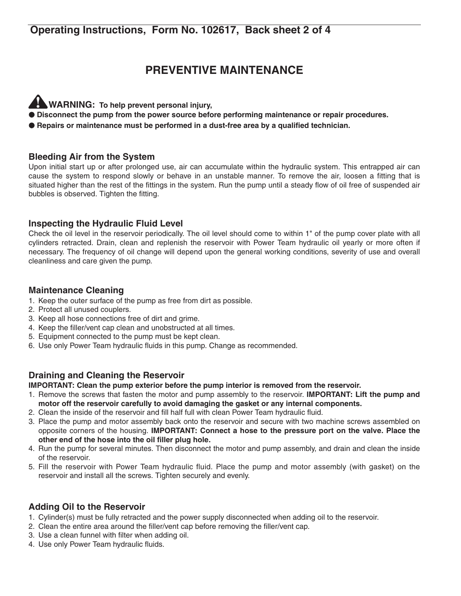# **Operating Instructions, Form No. 102617, Back sheet 2 of 4**

# **PREVENTIVE MAINTENANCE**

- **WARNING: To help prevent personal injury,**
- **Disconnect the pump from the power source before performing maintenance or repair procedures.**
- **Repairs or maintenance must be performed in a dust-free area by a qualified technician.**

### **Bleeding Air from the System**

Upon initial start up or after prolonged use, air can accumulate within the hydraulic system. This entrapped air can cause the system to respond slowly or behave in an unstable manner. To remove the air, loosen a fitting that is situated higher than the rest of the fittings in the system. Run the pump until a steady flow of oil free of suspended air bubbles is observed. Tighten the fitting.

### **Inspecting the Hydraulic Fluid Level**

Check the oil level in the reservoir periodically. The oil level should come to within 1" of the pump cover plate with all cylinders retracted. Drain, clean and replenish the reservoir with Power Team hydraulic oil yearly or more often if necessary. The frequency of oil change will depend upon the general working conditions, severity of use and overall cleanliness and care given the pump.

### **Maintenance Cleaning**

- 1. Keep the outer surface of the pump as free from dirt as possible.
- 2. Protect all unused couplers.
- 3. Keep all hose connections free of dirt and grime.
- 4. Keep the filler/vent cap clean and unobstructed at all times.
- 5. Equipment connected to the pump must be kept clean.
- 6. Use only Power Team hydraulic fluids in this pump. Change as recommended.

## **Draining and Cleaning the Reservoir**

**IMPORTANT: Clean the pump exterior before the pump interior is removed from the reservoir.**

- 1. Remove the screws that fasten the motor and pump assembly to the reservoir. **IMPORTANT: Lift the pump and motor off the reservoir carefully to avoid damaging the gasket or any internal components.**
- 2. Clean the inside of the reservoir and fill half full with clean Power Team hydraulic fluid.
- 3. Place the pump and motor assembly back onto the reservoir and secure with two machine screws assembled on opposite corners of the housing. **IMPORTANT: Connect a hose to the pressure port on the valve. Place the other end of the hose into the oil filler plug hole.**
- 4. Run the pump for several minutes. Then disconnect the motor and pump assembly, and drain and clean the inside of the reservoir.
- 5. Fill the reservoir with Power Team hydraulic fluid. Place the pump and motor assembly (with gasket) on the reservoir and install all the screws. Tighten securely and evenly.

### **Adding Oil to the Reservoir**

- 1. Cylinder(s) must be fully retracted and the power supply disconnected when adding oil to the reservoir.
- 2. Clean the entire area around the filler/vent cap before removing the filler/vent cap.
- 3. Use a clean funnel with filter when adding oil.
- 4. Use only Power Team hydraulic fluids.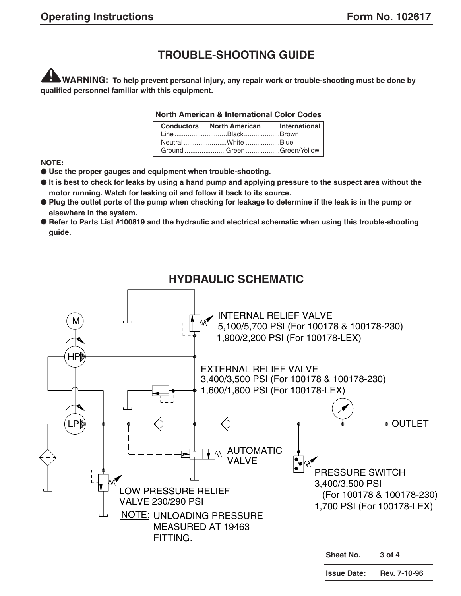# **TROUBLE-SHOOTING GUIDE**

**WARNING: To help prevent personal injury, any repair work or trouble-shooting must be done by qualified personnel familiar with this equipment.**

#### **North American & International Color Codes**

| <b>Conductors</b> North American | International |
|----------------------------------|---------------|
| Line BlackBrown                  |               |
| NeutralWhite Blue                |               |
| Ground Green Green/Yellow        |               |

**NOTE:**

- **Use the proper gauges and equipment when trouble-shooting.**
- **It is best to check for leaks by using a hand pump and applying pressure to the suspect area without the motor running. Watch for leaking oil and follow it back to its source.**
- **Plug the outlet ports of the pump when checking for leakage to determine if the leak is in the pump or elsewhere in the system.**
- **Refer to Parts List #100819 and the hydraulic and electrical schematic when using this trouble-shooting guide.**



# **HYDRAULIC SCHEMATIC**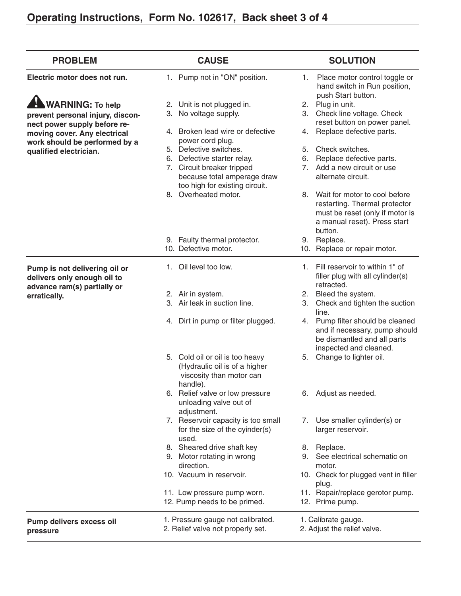| <b>PROBLEM</b>                                                                              | <b>CAUSE</b>                                                                                             | <b>SOLUTION</b>                                                                                                                                 |
|---------------------------------------------------------------------------------------------|----------------------------------------------------------------------------------------------------------|-------------------------------------------------------------------------------------------------------------------------------------------------|
| Electric motor does not run.                                                                | 1. Pump not in "ON" position.                                                                            | 1. Place motor control toggle or<br>hand switch in Run position,<br>push Start button.                                                          |
| <b>WARNING: To help</b>                                                                     | 2. Unit is not plugged in.                                                                               | Plug in unit.<br>2.                                                                                                                             |
| prevent personal injury, discon-                                                            | 3. No voltage supply.                                                                                    | 3. Check line voltage. Check<br>reset button on power panel.                                                                                    |
| nect power supply before re-<br>moving cover. Any electrical                                | 4. Broken lead wire or defective<br>power cord plug.                                                     | Replace defective parts.<br>4.                                                                                                                  |
| work should be performed by a                                                               | 5. Defective switches.                                                                                   | Check switches.<br>5.                                                                                                                           |
| qualified electrician.                                                                      | 6. Defective starter relay.                                                                              | Replace defective parts.<br>6.                                                                                                                  |
|                                                                                             | 7. Circuit breaker tripped<br>because total amperage draw<br>too high for existing circuit.              | 7. Add a new circuit or use<br>alternate circuit.                                                                                               |
|                                                                                             | 8. Overheated motor.                                                                                     | 8. Wait for motor to cool before<br>restarting. Thermal protector<br>must be reset (only if motor is<br>a manual reset). Press start<br>button. |
|                                                                                             | 9. Faulty thermal protector.<br>10. Defective motor.                                                     | 9. Replace.<br>10. Replace or repair motor.                                                                                                     |
| Pump is not delivering oil or<br>delivers only enough oil to<br>advance ram(s) partially or | 1. Oil level too low.                                                                                    | Fill reservoir to within 1" of<br>1.<br>filler plug with all cylinder(s)<br>retracted.                                                          |
| erratically.                                                                                | 2. Air in system.                                                                                        | 2. Bleed the system.                                                                                                                            |
|                                                                                             | 3. Air leak in suction line.                                                                             | 3. Check and tighten the suction<br>line.                                                                                                       |
|                                                                                             | 4. Dirt in pump or filter plugged.                                                                       | 4. Pump filter should be cleaned<br>and if necessary, pump should<br>be dismantled and all parts<br>inspected and cleaned.                      |
|                                                                                             | 5. Cold oil or oil is too heavy<br>(Hydraulic oil is of a higher<br>viscosity than motor can<br>handle). | Change to lighter oil.<br>5.                                                                                                                    |
|                                                                                             | 6. Relief valve or low pressure<br>unloading valve out of<br>adjustment.                                 | 6. Adjust as needed.                                                                                                                            |
|                                                                                             | 7. Reservoir capacity is too small<br>for the size of the cyinder(s)<br>used.                            | Use smaller cylinder(s) or<br>7.<br>larger reservoir.                                                                                           |
|                                                                                             | 8. Sheared drive shaft key                                                                               | 8. Replace.                                                                                                                                     |
|                                                                                             | 9. Motor rotating in wrong<br>direction.                                                                 | 9. See electrical schematic on<br>motor.                                                                                                        |
|                                                                                             | 10. Vacuum in reservoir.                                                                                 | 10. Check for plugged vent in filler<br>plug.                                                                                                   |
|                                                                                             | 11. Low pressure pump worn.<br>12. Pump needs to be primed.                                              | 11. Repair/replace gerotor pump.<br>12. Prime pump.                                                                                             |
| Pump delivers excess oil<br>pressure                                                        | 1. Pressure gauge not calibrated.<br>2. Relief valve not properly set.                                   | 1. Calibrate gauge.<br>2. Adjust the relief valve.                                                                                              |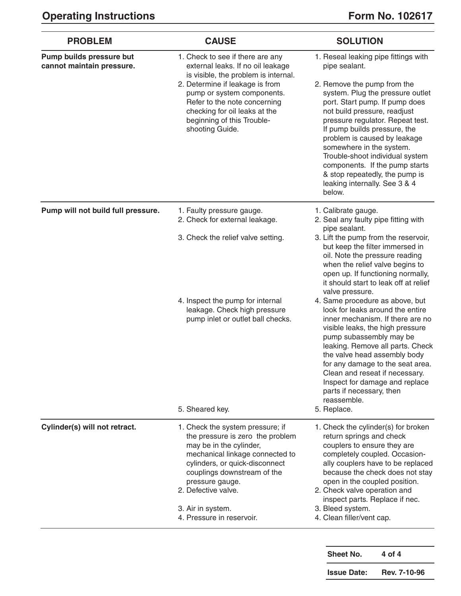| <b>PROBLEM</b>                                        | <b>CAUSE</b>                                                                                                                                                                                                                                                                                     | <b>SOLUTION</b>                                                                                                                                                                                                                                                                                                                                                                                                                                                                                                                                                                                                                                                                |
|-------------------------------------------------------|--------------------------------------------------------------------------------------------------------------------------------------------------------------------------------------------------------------------------------------------------------------------------------------------------|--------------------------------------------------------------------------------------------------------------------------------------------------------------------------------------------------------------------------------------------------------------------------------------------------------------------------------------------------------------------------------------------------------------------------------------------------------------------------------------------------------------------------------------------------------------------------------------------------------------------------------------------------------------------------------|
| Pump builds pressure but<br>cannot maintain pressure. | 1. Check to see if there are any<br>external leaks. If no oil leakage<br>is visible, the problem is internal.<br>2. Determine if leakage is from<br>pump or system components.<br>Refer to the note concerning<br>checking for oil leaks at the<br>beginning of this Trouble-<br>shooting Guide. | 1. Reseal leaking pipe fittings with<br>pipe sealant.<br>2. Remove the pump from the<br>system. Plug the pressure outlet<br>port. Start pump. If pump does<br>not build pressure, readjust<br>pressure regulator. Repeat test.<br>If pump builds pressure, the<br>problem is caused by leakage<br>somewhere in the system.<br>Trouble-shoot individual system<br>components. If the pump starts<br>& stop repeatedly, the pump is<br>leaking internally. See 3 & 4<br>below.                                                                                                                                                                                                   |
| Pump will not build full pressure.                    | 1. Faulty pressure gauge.<br>2. Check for external leakage.                                                                                                                                                                                                                                      | 1. Calibrate gauge.<br>2. Seal any faulty pipe fitting with                                                                                                                                                                                                                                                                                                                                                                                                                                                                                                                                                                                                                    |
|                                                       | 3. Check the relief valve setting.<br>4. Inspect the pump for internal<br>leakage. Check high pressure<br>pump inlet or outlet ball checks.<br>5. Sheared key.                                                                                                                                   | pipe sealant.<br>3. Lift the pump from the reservoir,<br>but keep the filter immersed in<br>oil. Note the pressure reading<br>when the relief valve begins to<br>open up. If functioning normally,<br>it should start to leak off at relief<br>valve pressure.<br>4. Same procedure as above, but<br>look for leaks around the entire<br>inner mechanism. If there are no<br>visible leaks, the high pressure<br>pump subassembly may be<br>leaking. Remove all parts. Check<br>the valve head assembly body<br>for any damage to the seat area.<br>Clean and reseat if necessary.<br>Inspect for damage and replace<br>parts if necessary, then<br>reassemble.<br>5. Replace. |
| Cylinder(s) will not retract.                         | 1. Check the system pressure; if<br>the pressure is zero the problem<br>may be in the cylinder,<br>mechanical linkage connected to<br>cylinders, or quick-disconnect<br>couplings downstream of the<br>pressure gauge.<br>2. Defective valve.<br>3. Air in system.<br>4. Pressure in reservoir.  | 1. Check the cylinder(s) for broken<br>return springs and check<br>couplers to ensure they are<br>completely coupled. Occasion-<br>ally couplers have to be replaced<br>because the check does not stay<br>open in the coupled position.<br>2. Check valve operation and<br>inspect parts. Replace if nec.<br>3. Bleed system.<br>4. Clean filler/vent cap.                                                                                                                                                                                                                                                                                                                    |

| Sheet No.          | 4 of 4       |
|--------------------|--------------|
| <b>Issue Date:</b> | Rev. 7-10-96 |